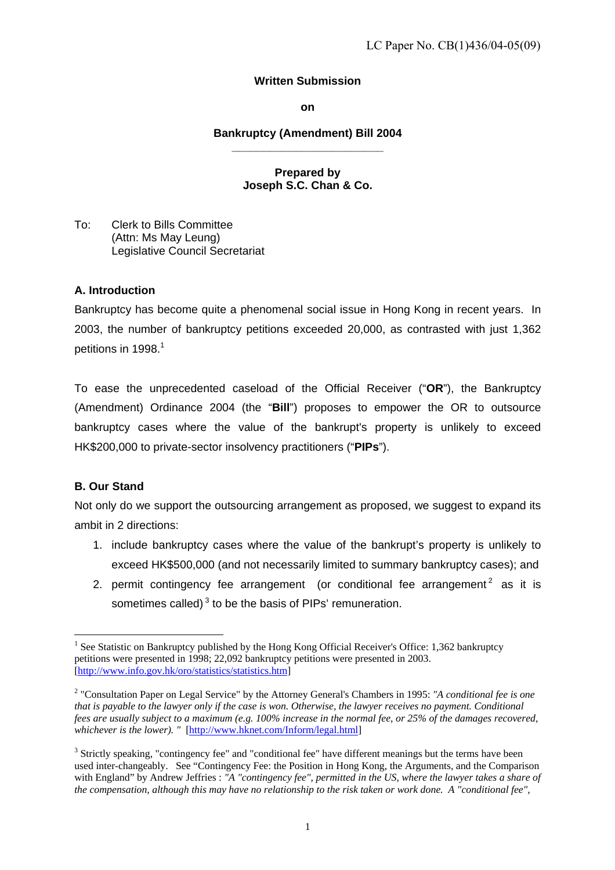# **Written Submission**

#### **on**

#### **Bankruptcy (Amendment) Bill 2004 \_\_\_\_\_\_\_\_\_\_\_\_\_\_\_\_\_\_\_\_\_\_\_\_**

# **Prepared by Joseph S.C. Chan & Co.**

<span id="page-0-2"></span>To: Clerk to Bills Committee (Attn: Ms May Leung) Legislative Council Secretariat

## **A. Introduction**

Bankruptcy has become quite a phenomenal social issue in Hong Kong in recent years. In 2003, the number of bankruptcy petitions exceeded 20,000, as contrasted with just 1,362 petitions in [1](#page-0-0)998. $^1$ 

To ease the unprecedented caseload of the Official Receiver ("**OR**"), the Bankruptcy (Amendment) Ordinance 2004 (the "**Bill**") proposes to empower the OR to outsource bankruptcy cases where the value of the bankrupt's property is unlikely to exceed HK\$200,000 to private-sector insolvency practitioners ("**PIPs**").

# **B. Our Stand**

 $\overline{a}$ 

Not only do we support the outsourcing arrangement as proposed, we suggest to expand its ambit in 2 directions:

- 1. include bankruptcy cases where the value of the bankrupt's property is unlikely to exceed HK\$500,000 (and not necessarily limited to summary bankruptcy cases); and
- 2. permit contingency fee arrangement (or conditional fee arrangement<sup>2</sup> as it is sometimes called) $3$  to be the basis of PIPs' remuneration.

<span id="page-0-0"></span><sup>&</sup>lt;sup>1</sup> See Statistic on Bankruptcy published by the Hong Kong Official Receiver's Office: 1,362 bankruptcy petitions were presented in 1998; 22,092 bankruptcy petitions were presented in 2003. [\[http://www.info.gov.hk/oro/statistics/statistics.htm](http://www.info.gov.hk/oro/statistics/statistics.htm)]

<span id="page-0-1"></span><sup>2</sup> "Consultation Paper on Legal Service" by the Attorney General's Chambers in 1995: *"A conditional fee is one that is payable to the lawyer only if the case is won. Otherwise, the lawyer receives no payment. Conditional fees are usually subject to a maximum (e.g. 100% increase in the normal fee, or 25% of the damages recovered, whichever is the lower). "* [\[http://www.hknet.com/Inform/legal.html\]](http://www.hknet.com/Inform/legal.html)

<sup>&</sup>lt;sup>3</sup> Strictly speaking, "contingency fee" and "conditional fee" have different meanings but the terms have been used inter-changeably. See "Contingency Fee: the Position in Hong Kong, the Arguments, and the Comparison with England" by Andrew Jeffries : *"A "contingency fee", permitted in the US, where the lawyer takes a share of the compensation, although this may have no relationship to the risk taken or work done. A "conditional fee",*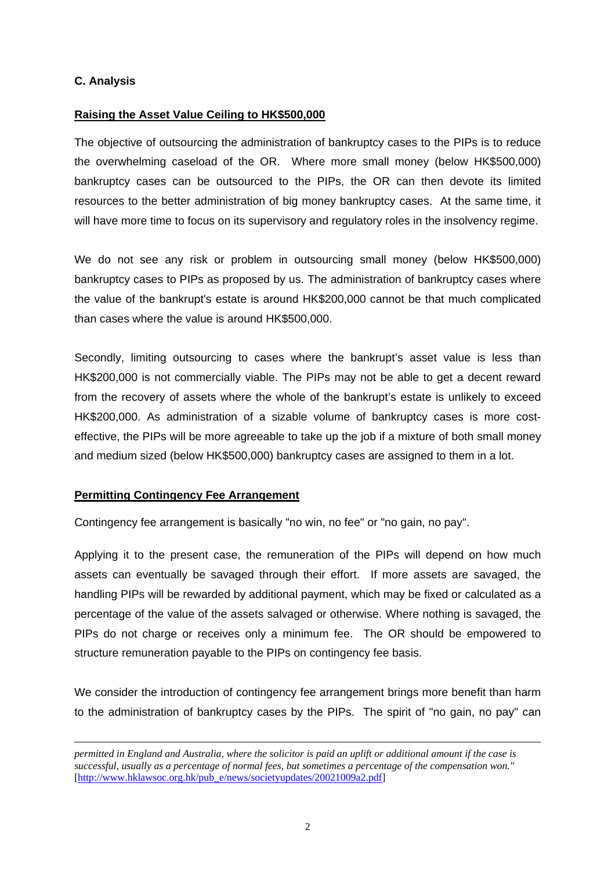## **C. Analysis**

## **Raising the Asset Value Ceiling to HK\$500,000**

The objective of outsourcing the administration of bankruptcy cases to the PIPs is to reduce the overwhelming caseload of the OR. Where more small money (below HK\$500,000) bankruptcy cases can be outsourced to the PIPs, the OR can then devote its limited resources to the better administration of big money bankruptcy cases. At the same time, it will have more time to focus on its supervisory and regulatory roles in the insolvency regime.

We do not see any risk or problem in outsourcing small money (below HK\$500,000) bankruptcy cases to PIPs as proposed by us. The administration of bankruptcy cases where the value of the bankrupt's estate is around HK\$200,000 cannot be that much complicated than cases where the value is around HK\$500,000.

Secondly, limiting outsourcing to cases where the bankrupt's asset value is less than HK\$200,000 is not commercially viable. The PIPs may not be able to get a decent reward from the recovery of assets where the whole of the bankrupt's estate is unlikely to exceed HK\$200,000. As administration of a sizable volume of bankruptcy cases is more costeffective, the PIPs will be more agreeable to take up the job if a mixture of both small money and medium sized (below HK\$500,000) bankruptcy cases are assigned to them in a lot.

## **Permitting Contingency Fee Arrangement**

 $\overline{a}$ 

Contingency fee arrangement is basically "no win, no fee" or "no gain, no pay".

Applying it to the present case, the remuneration of the PIPs will depend on how much assets can eventually be savaged through their effort. If more assets are savaged, the handling PIPs will be rewarded by additional payment, which may be fixed or calculated as a percentage of the value of the assets salvaged or otherwise. Where nothing is savaged, the PIPs do not charge or receives only a minimum fee. The OR should be empowered to structure remuneration payable to the PIPs on contingency fee basis.

We consider the introduction of contingency fee arrangement brings more benefit than harm to the administration of bankruptcy cases by the PIPs. The spirit of "no gain, no pay" can

*permitted in England and Australia, where the solicitor is paid an uplift or additional amount if the case is successful, usually as a percentage of normal fees, but sometimes a percentage of the compensation won."*  [\[http://www.hklawsoc.org.hk/pub\\_e/news/societyupdates/20021009a2.pdf\]](http://www.hklawsoc.org.hk/pub_e/news/societyupdates/20021009a2.pdf)